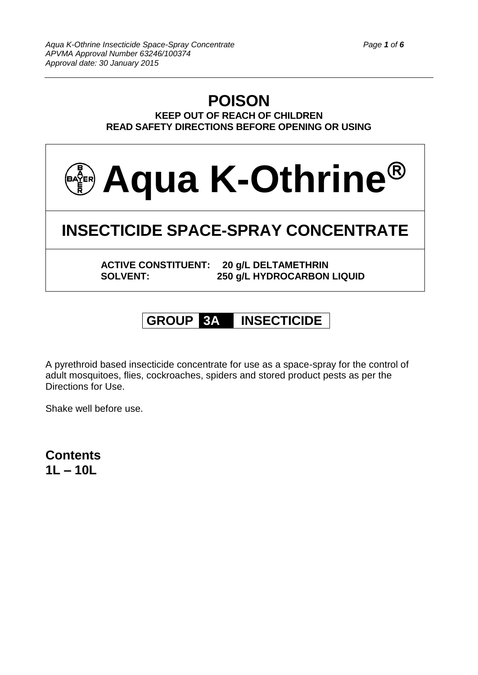## **POISON KEEP OUT OF REACH OF CHILDREN READ SAFETY DIRECTIONS BEFORE OPENING OR USING**



# **GROUP 3A INSECTICIDE**

A pyrethroid based insecticide concentrate for use as a space-spray for the control of adult mosquitoes, flies, cockroaches, spiders and stored product pests as per the Directions for Use.

Shake well before use.

**Contents 1L – 10L**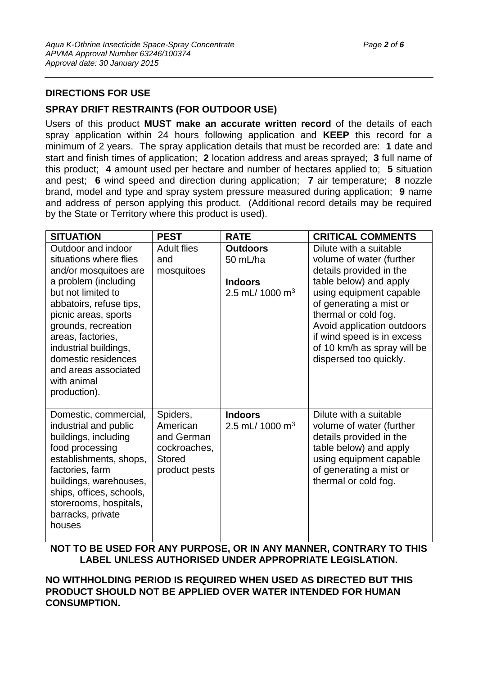## **DIRECTIONS FOR USE**

## **SPRAY DRIFT RESTRAINTS (FOR OUTDOOR USE)**

Users of this product **MUST make an accurate written record** of the details of each spray application within 24 hours following application and **KEEP** this record for a minimum of 2 years. The spray application details that must be recorded are: **1** date and start and finish times of application; **2** location address and areas sprayed; **3** full name of this product; **4** amount used per hectare and number of hectares applied to; **5** situation and pest; **6** wind speed and direction during application; **7** air temperature; **8** nozzle brand, model and type and spray system pressure measured during application; **9** name and address of person applying this product. (Additional record details may be required by the State or Territory where this product is used).

| <b>SITUATION</b>                                                                                                                                                                                                                                                                                                          | <b>PEST</b>                                                                          | <b>RATE</b>                                                                  | <b>CRITICAL COMMENTS</b>                                                                                                                                                                                                                                                                                   |
|---------------------------------------------------------------------------------------------------------------------------------------------------------------------------------------------------------------------------------------------------------------------------------------------------------------------------|--------------------------------------------------------------------------------------|------------------------------------------------------------------------------|------------------------------------------------------------------------------------------------------------------------------------------------------------------------------------------------------------------------------------------------------------------------------------------------------------|
| Outdoor and indoor<br>situations where flies<br>and/or mosquitoes are<br>a problem (including<br>but not limited to<br>abbatoirs, refuse tips,<br>picnic areas, sports<br>grounds, recreation<br>areas, factories,<br>industrial buildings,<br>domestic residences<br>and areas associated<br>with animal<br>production). | <b>Adult flies</b><br>and<br>mosquitoes                                              | <b>Outdoors</b><br>50 mL/ha<br><b>Indoors</b><br>2.5 mL/ 1000 m <sup>3</sup> | Dilute with a suitable<br>volume of water (further<br>details provided in the<br>table below) and apply<br>using equipment capable<br>of generating a mist or<br>thermal or cold fog.<br>Avoid application outdoors<br>if wind speed is in excess<br>of 10 km/h as spray will be<br>dispersed too quickly. |
| Domestic, commercial,<br>industrial and public<br>buildings, including<br>food processing<br>establishments, shops,<br>factories, farm<br>buildings, warehouses,<br>ships, offices, schools,<br>storerooms, hospitals,<br>barracks, private<br>houses                                                                     | Spiders,<br>American<br>and German<br>cockroaches,<br><b>Stored</b><br>product pests | <b>Indoors</b><br>2.5 mL/ 1000 m <sup>3</sup>                                | Dilute with a suitable<br>volume of water (further<br>details provided in the<br>table below) and apply<br>using equipment capable<br>of generating a mist or<br>thermal or cold fog.                                                                                                                      |

**NOT TO BE USED FOR ANY PURPOSE, OR IN ANY MANNER, CONTRARY TO THIS LABEL UNLESS AUTHORISED UNDER APPROPRIATE LEGISLATION.**

**NO WITHHOLDING PERIOD IS REQUIRED WHEN USED AS DIRECTED BUT THIS PRODUCT SHOULD NOT BE APPLIED OVER WATER INTENDED FOR HUMAN CONSUMPTION.**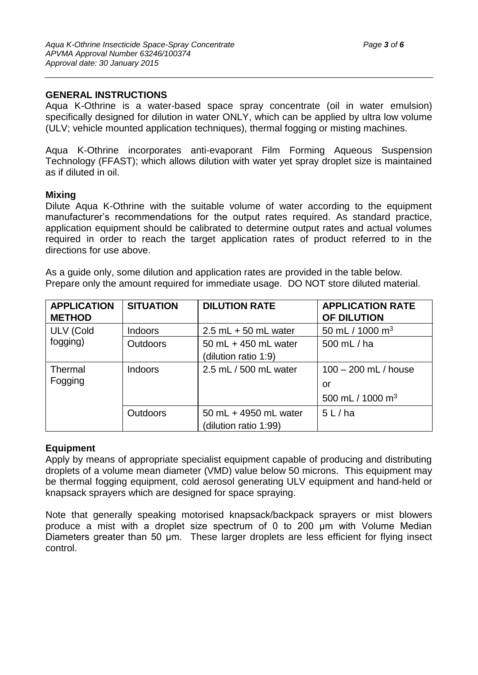## **GENERAL INSTRUCTIONS**

Aqua K-Othrine is a water-based space spray concentrate (oil in water emulsion) specifically designed for dilution in water ONLY, which can be applied by ultra low volume (ULV; vehicle mounted application techniques), thermal fogging or misting machines.

Aqua K-Othrine incorporates anti-evaporant Film Forming Aqueous Suspension Technology (FFAST); which allows dilution with water yet spray droplet size is maintained as if diluted in oil.

#### **Mixing**

Dilute Aqua K-Othrine with the suitable volume of water according to the equipment manufacturer's recommendations for the output rates required. As standard practice, application equipment should be calibrated to determine output rates and actual volumes required in order to reach the target application rates of product referred to in the directions for use above.

As a guide only, some dilution and application rates are provided in the table below. Prepare only the amount required for immediate usage. DO NOT store diluted material.

| <b>APPLICATION</b><br><b>METHOD</b> | <b>SITUATION</b> | <b>DILUTION RATE</b>    | <b>APPLICATION RATE</b><br>OF DILUTION |
|-------------------------------------|------------------|-------------------------|----------------------------------------|
| <b>ULV (Cold</b><br>fogging)        | <b>Indoors</b>   | $2.5$ mL $+50$ mL water | 50 mL / 1000 m <sup>3</sup>            |
|                                     | <b>Outdoors</b>  | 50 mL + 450 mL water    | 500 mL / ha                            |
|                                     |                  | (dilution ratio 1:9)    |                                        |
| Thermal                             | <b>Indoors</b>   | 2.5 mL / 500 mL water   | $100 - 200$ mL / house                 |
| Fogging                             |                  |                         | or                                     |
|                                     |                  |                         | 500 mL / 1000 m <sup>3</sup>           |
|                                     | <b>Outdoors</b>  | 50 mL + 4950 mL water   | 5 L / ha                               |
|                                     |                  | (dilution ratio 1:99)   |                                        |

#### **Equipment**

Apply by means of appropriate specialist equipment capable of producing and distributing droplets of a volume mean diameter (VMD) value below 50 microns. This equipment may be thermal fogging equipment, cold aerosol generating ULV equipment and hand-held or knapsack sprayers which are designed for space spraying.

Note that generally speaking motorised knapsack/backpack sprayers or mist blowers produce a mist with a droplet size spectrum of 0 to 200 μm with Volume Median Diameters greater than 50 μm. These larger droplets are less efficient for flying insect control.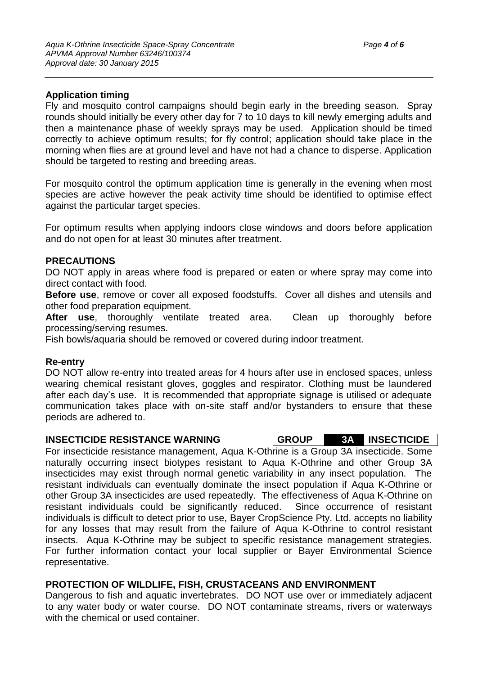## **Application timing**

Fly and mosquito control campaigns should begin early in the breeding season. Spray rounds should initially be every other day for 7 to 10 days to kill newly emerging adults and then a maintenance phase of weekly sprays may be used. Application should be timed correctly to achieve optimum results; for fly control; application should take place in the morning when flies are at ground level and have not had a chance to disperse. Application should be targeted to resting and breeding areas.

For mosquito control the optimum application time is generally in the evening when most species are active however the peak activity time should be identified to optimise effect against the particular target species.

For optimum results when applying indoors close windows and doors before application and do not open for at least 30 minutes after treatment.

#### **PRECAUTIONS**

DO NOT apply in areas where food is prepared or eaten or where spray may come into direct contact with food.

**Before use**, remove or cover all exposed foodstuffs. Cover all dishes and utensils and other food preparation equipment.

**After use**, thoroughly ventilate treated area. Clean up thoroughly before processing/serving resumes.

Fish bowls/aquaria should be removed or covered during indoor treatment.

#### **Re-entry**

DO NOT allow re-entry into treated areas for 4 hours after use in enclosed spaces, unless wearing chemical resistant gloves, goggles and respirator. Clothing must be laundered after each day's use. It is recommended that appropriate signage is utilised or adequate communication takes place with on-site staff and/or bystanders to ensure that these periods are adhered to.

#### **INSECTICIDE RESISTANCE WARNING GROUP 3A INSECTICIDE**

For insecticide resistance management, Aqua K-Othrine is a Group 3A insecticide. Some naturally occurring insect biotypes resistant to Aqua K-Othrine and other Group 3A insecticides may exist through normal genetic variability in any insect population. The resistant individuals can eventually dominate the insect population if Aqua K-Othrine or other Group 3A insecticides are used repeatedly. The effectiveness of Aqua K-Othrine on resistant individuals could be significantly reduced. Since occurrence of resistant individuals is difficult to detect prior to use, Bayer CropScience Pty. Ltd. accepts no liability for any losses that may result from the failure of Aqua K-Othrine to control resistant insects. Aqua K-Othrine may be subject to specific resistance management strategies. For further information contact your local supplier or Bayer Environmental Science representative.

## **PROTECTION OF WILDLIFE, FISH, CRUSTACEANS AND ENVIRONMENT**

Dangerous to fish and aquatic invertebrates. DO NOT use over or immediately adjacent to any water body or water course. DO NOT contaminate streams, rivers or waterways with the chemical or used container.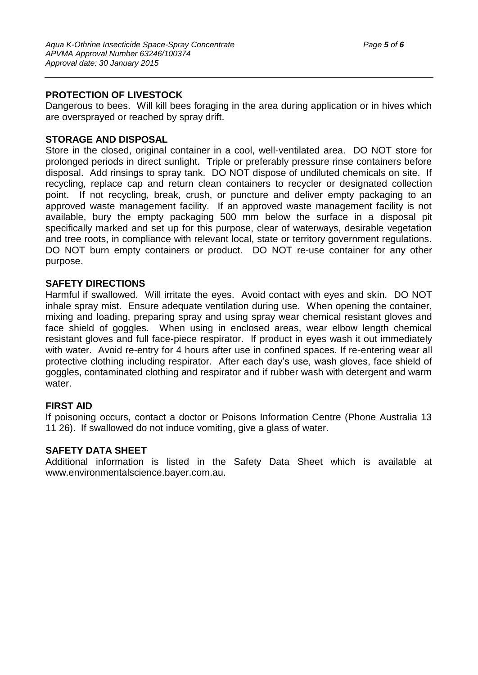## **PROTECTION OF LIVESTOCK**

Dangerous to bees. Will kill bees foraging in the area during application or in hives which are oversprayed or reached by spray drift.

## **STORAGE AND DISPOSAL**

Store in the closed, original container in a cool, well-ventilated area. DO NOT store for prolonged periods in direct sunlight. Triple or preferably pressure rinse containers before disposal. Add rinsings to spray tank. DO NOT dispose of undiluted chemicals on site. If recycling, replace cap and return clean containers to recycler or designated collection point. If not recycling, break, crush, or puncture and deliver empty packaging to an approved waste management facility. If an approved waste management facility is not available, bury the empty packaging 500 mm below the surface in a disposal pit specifically marked and set up for this purpose, clear of waterways, desirable vegetation and tree roots, in compliance with relevant local, state or territory government regulations. DO NOT burn empty containers or product. DO NOT re-use container for any other purpose.

#### **SAFETY DIRECTIONS**

Harmful if swallowed. Will irritate the eyes. Avoid contact with eyes and skin. DO NOT inhale spray mist. Ensure adequate ventilation during use. When opening the container, mixing and loading, preparing spray and using spray wear chemical resistant gloves and face shield of goggles. When using in enclosed areas, wear elbow length chemical resistant gloves and full face-piece respirator. If product in eyes wash it out immediately with water. Avoid re-entry for 4 hours after use in confined spaces. If re-entering wear all protective clothing including respirator. After each day's use, wash gloves, face shield of goggles, contaminated clothing and respirator and if rubber wash with detergent and warm water.

## **FIRST AID**

If poisoning occurs, contact a doctor or Poisons Information Centre (Phone Australia 13 11 26). If swallowed do not induce vomiting, give a glass of water.

#### **SAFETY DATA SHEET**

Additional information is listed in the Safety Data Sheet which is available at www.environmentalscience.bayer.com.au.